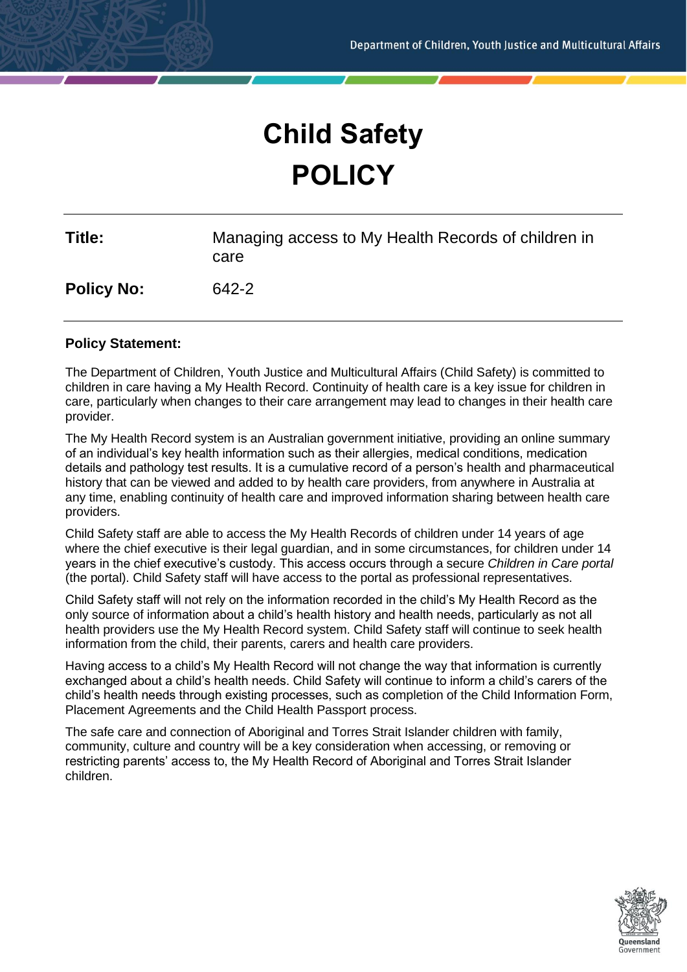# **Child Safety POLICY**

| Title:            | Managing access to My Health Records of children in<br>care |
|-------------------|-------------------------------------------------------------|
| <b>Policy No:</b> | 642-2                                                       |

#### **Policy Statement:**

The Department of Children, Youth Justice and Multicultural Affairs (Child Safety) is committed to children in care having a My Health Record. Continuity of health care is a key issue for children in care, particularly when changes to their care arrangement may lead to changes in their health care provider.

The My Health Record system is an Australian government initiative, providing an online summary of an individual's key health information such as their allergies, medical conditions, medication details and pathology test results. It is a cumulative record of a person's health and pharmaceutical history that can be viewed and added to by health care providers, from anywhere in Australia at any time, enabling continuity of health care and improved information sharing between health care providers.

Child Safety staff are able to access the My Health Records of children under 14 years of age where the chief executive is their legal guardian, and in some circumstances, for children under 14 years in the chief executive's custody. This access occurs through a secure *Children in Care portal* (the portal). Child Safety staff will have access to the portal as professional representatives.

Child Safety staff will not rely on the information recorded in the child's My Health Record as the only source of information about a child's health history and health needs, particularly as not all health providers use the My Health Record system. Child Safety staff will continue to seek health information from the child, their parents, carers and health care providers.

Having access to a child's My Health Record will not change the way that information is currently exchanged about a child's health needs. Child Safety will continue to inform a child's carers of the child's health needs through existing processes, such as completion of the Child Information Form, Placement Agreements and the Child Health Passport process.

The safe care and connection of Aboriginal and Torres Strait Islander children with family, community, culture and country will be a key consideration when accessing, or removing or restricting parents' access to, the My Health Record of Aboriginal and Torres Strait Islander children.

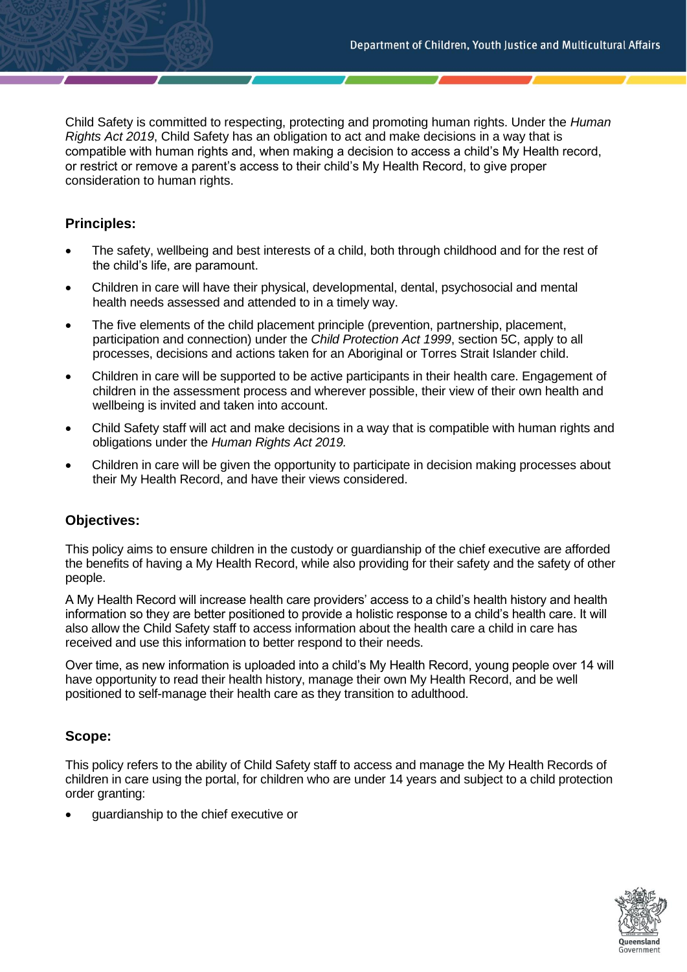Child Safety is committed to respecting, protecting and promoting human rights. Under the *Human Rights Act 2019*, Child Safety has an obligation to act and make decisions in a way that is compatible with human rights and, when making a decision to access a child's My Health record, or restrict or remove a parent's access to their child's My Health Record, to give proper consideration to human rights.

# **Principles:**

- The safety, wellbeing and best interests of a child, both through childhood and for the rest of the child's life, are paramount.
- Children in care will have their physical, developmental, dental, psychosocial and mental health needs assessed and attended to in a timely way.
- The five elements of the child placement principle (prevention, partnership, placement, participation and connection) under the *Child Protection Act 1999*, section 5C, apply to all processes, decisions and actions taken for an Aboriginal or Torres Strait Islander child.
- Children in care will be supported to be active participants in their health care. Engagement of children in the assessment process and wherever possible, their view of their own health and wellbeing is invited and taken into account.
- Child Safety staff will act and make decisions in a way that is compatible with human rights and obligations under the *Human Rights Act 2019.*
- Children in care will be given the opportunity to participate in decision making processes about their My Health Record, and have their views considered.

# **Objectives:**

This policy aims to ensure children in the custody or guardianship of the chief executive are afforded the benefits of having a My Health Record, while also providing for their safety and the safety of other people.

A My Health Record will increase health care providers' access to a child's health history and health information so they are better positioned to provide a holistic response to a child's health care. It will also allow the Child Safety staff to access information about the health care a child in care has received and use this information to better respond to their needs.

Over time, as new information is uploaded into a child's My Health Record, young people over 14 will have opportunity to read their health history, manage their own My Health Record, and be well positioned to self-manage their health care as they transition to adulthood.

# **Scope:**

This policy refers to the ability of Child Safety staff to access and manage the My Health Records of children in care using the portal, for children who are under 14 years and subject to a child protection order granting:

• guardianship to the chief executive or

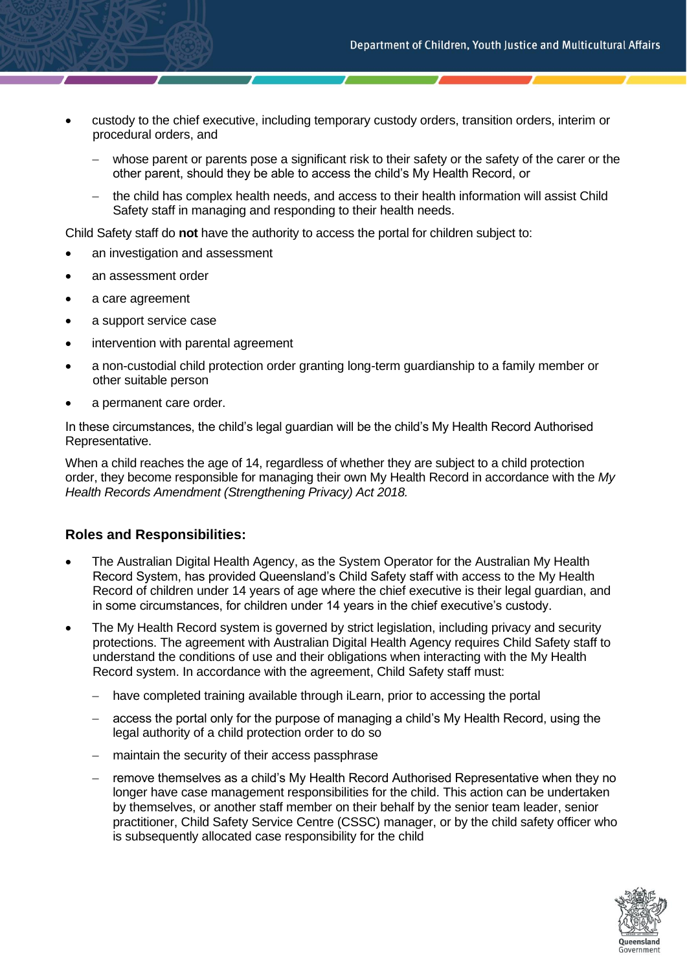- custody to the chief executive, including temporary custody orders, transition orders, interim or procedural orders, and
	- whose parent or parents pose a significant risk to their safety or the safety of the carer or the other parent, should they be able to access the child's My Health Record, or
	- − the child has complex health needs, and access to their health information will assist Child Safety staff in managing and responding to their health needs.

Child Safety staff do **not** have the authority to access the portal for children subject to:

- an investigation and assessment
- an assessment order
- a care agreement
- a support service case
- intervention with parental agreement
- a non-custodial child protection order granting long-term guardianship to a family member or other suitable person
- a permanent care order.

In these circumstances, the child's legal guardian will be the child's My Health Record Authorised Representative.

When a child reaches the age of 14, regardless of whether they are subject to a child protection order, they become responsible for managing their own My Health Record in accordance with the *My Health Records Amendment (Strengthening Privacy) Act 2018.*

# **Roles and Responsibilities:**

- The Australian Digital Health Agency, as the System Operator for the Australian My Health Record System, has provided Queensland's Child Safety staff with access to the My Health Record of children under 14 years of age where the chief executive is their legal guardian, and in some circumstances, for children under 14 years in the chief executive's custody.
- The My Health Record system is governed by strict legislation, including privacy and security protections. The agreement with Australian Digital Health Agency requires Child Safety staff to understand the conditions of use and their obligations when interacting with the My Health Record system. In accordance with the agreement, Child Safety staff must:
	- have completed training available through iLearn, prior to accessing the portal
	- access the portal only for the purpose of managing a child's My Health Record, using the legal authority of a child protection order to do so
	- − maintain the security of their access passphrase
	- − remove themselves as a child's My Health Record Authorised Representative when they no longer have case management responsibilities for the child. This action can be undertaken by themselves, or another staff member on their behalf by the senior team leader, senior practitioner, Child Safety Service Centre (CSSC) manager, or by the child safety officer who is subsequently allocated case responsibility for the child

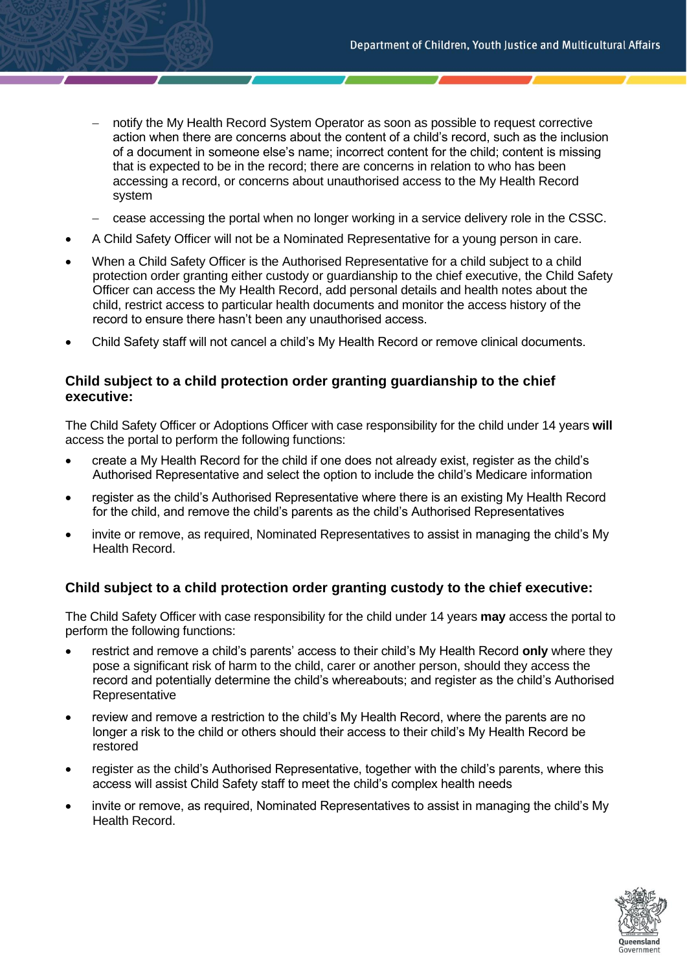- notify the My Health Record System Operator as soon as possible to request corrective action when there are concerns about the content of a child's record, such as the inclusion of a document in someone else's name; incorrect content for the child; content is missing that is expected to be in the record; there are concerns in relation to who has been accessing a record, or concerns about unauthorised access to the My Health Record system
- − cease accessing the portal when no longer working in a service delivery role in the CSSC.
- A Child Safety Officer will not be a Nominated Representative for a young person in care.
- When a Child Safety Officer is the Authorised Representative for a child subject to a child protection order granting either custody or guardianship to the chief executive, the Child Safety Officer can access the My Health Record, add personal details and health notes about the child, restrict access to particular health documents and monitor the access history of the record to ensure there hasn't been any unauthorised access.
- Child Safety staff will not cancel a child's My Health Record or remove clinical documents.

#### **Child subject to a child protection order granting guardianship to the chief executive:**

The Child Safety Officer or Adoptions Officer with case responsibility for the child under 14 years **will** access the portal to perform the following functions:

- create a My Health Record for the child if one does not already exist, register as the child's Authorised Representative and select the option to include the child's Medicare information
- register as the child's Authorised Representative where there is an existing My Health Record for the child, and remove the child's parents as the child's Authorised Representatives
- invite or remove, as required, Nominated Representatives to assist in managing the child's My Health Record.

#### **Child subject to a child protection order granting custody to the chief executive:**

The Child Safety Officer with case responsibility for the child under 14 years **may** access the portal to perform the following functions:

- restrict and remove a child's parents' access to their child's My Health Record **only** where they pose a significant risk of harm to the child, carer or another person, should they access the record and potentially determine the child's whereabouts; and register as the child's Authorised Representative
- review and remove a restriction to the child's My Health Record, where the parents are no longer a risk to the child or others should their access to their child's My Health Record be restored
- register as the child's Authorised Representative, together with the child's parents, where this access will assist Child Safety staff to meet the child's complex health needs
- invite or remove, as required, Nominated Representatives to assist in managing the child's My Health Record.

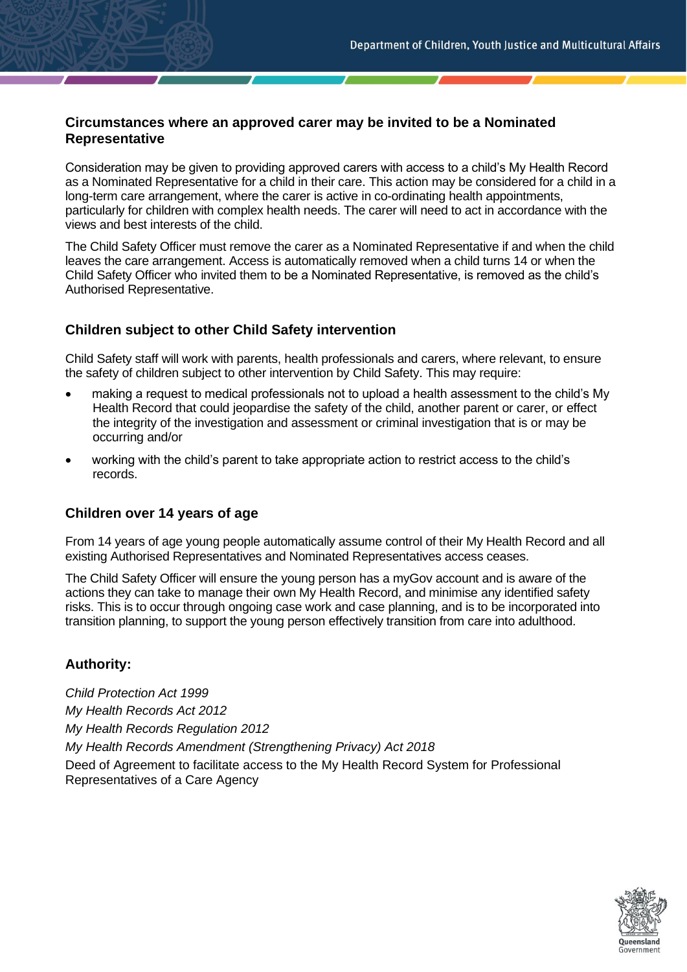# **Circumstances where an approved carer may be invited to be a Nominated Representative**

Consideration may be given to providing approved carers with access to a child's My Health Record as a Nominated Representative for a child in their care. This action may be considered for a child in a long-term care arrangement, where the carer is active in co-ordinating health appointments, particularly for children with complex health needs. The carer will need to act in accordance with the views and best interests of the child.

The Child Safety Officer must remove the carer as a Nominated Representative if and when the child leaves the care arrangement. Access is automatically removed when a child turns 14 or when the Child Safety Officer who invited them to be a Nominated Representative, is removed as the child's Authorised Representative.

# **Children subject to other Child Safety intervention**

Child Safety staff will work with parents, health professionals and carers, where relevant, to ensure the safety of children subject to other intervention by Child Safety. This may require:

- making a request to medical professionals not to upload a health assessment to the child's My Health Record that could jeopardise the safety of the child, another parent or carer, or effect the integrity of the investigation and assessment or criminal investigation that is or may be occurring and/or
- working with the child's parent to take appropriate action to restrict access to the child's records.

# **Children over 14 years of age**

From 14 years of age young people automatically assume control of their My Health Record and all existing Authorised Representatives and Nominated Representatives access ceases.

The Child Safety Officer will ensure the young person has a myGov account and is aware of the actions they can take to manage their own My Health Record, and minimise any identified safety risks. This is to occur through ongoing case work and case planning, and is to be incorporated into transition planning, to support the young person effectively transition from care into adulthood.

# **Authority:**

*Child Protection Act 1999 My Health Records Act 2012 My Health Records Regulation 2012 My Health Records Amendment (Strengthening Privacy) Act 2018* Deed of Agreement to facilitate access to the My Health Record System for Professional Representatives of a Care Agency

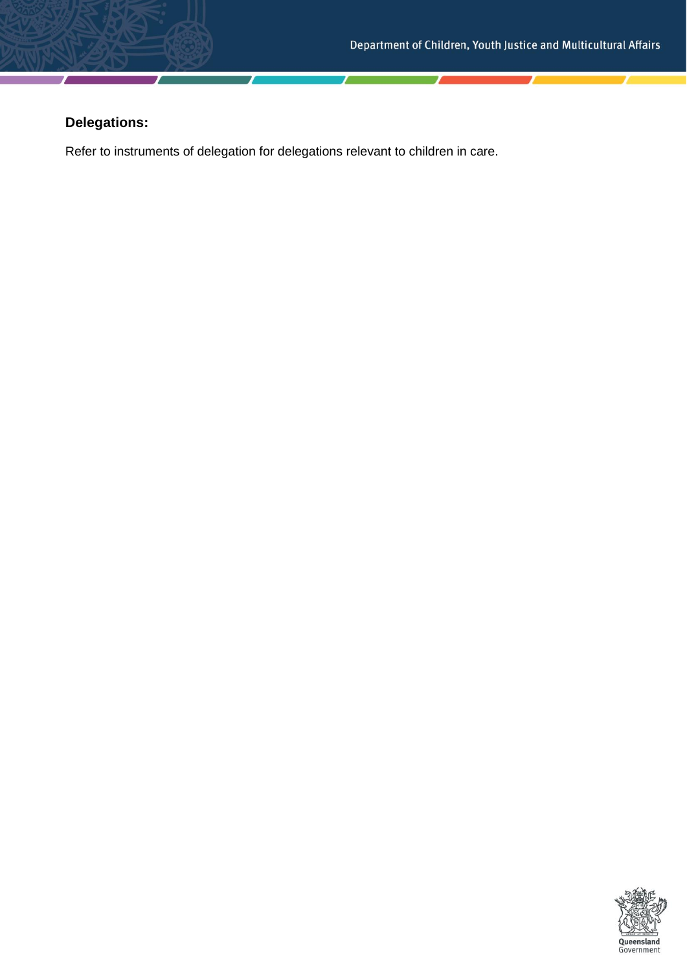# **Delegations:**

Refer to instruments of delegation for delegations relevant to children in care.